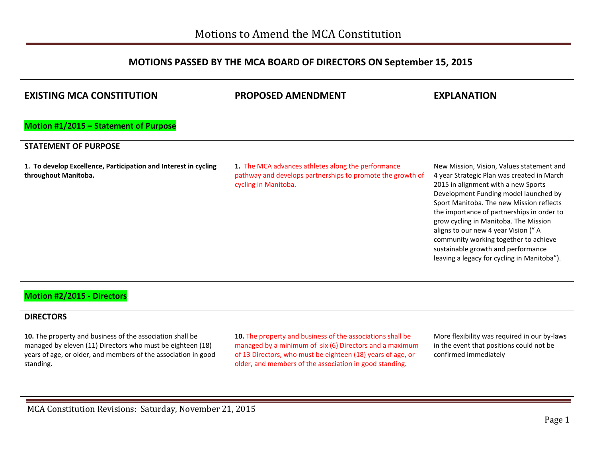## **MOTIONS PASSED BY THE MCA BOARD OF DIRECTORS ON September 15, 2015**

| <b>EXISTING MCA CONSTITUTION</b>                                                        | <b>PROPOSED AMENDMENT</b>                                                                                                                | <b>EXPLANATION</b>                                                                                                                                                                                                                                                                                                                                                                                                                                                              |
|-----------------------------------------------------------------------------------------|------------------------------------------------------------------------------------------------------------------------------------------|---------------------------------------------------------------------------------------------------------------------------------------------------------------------------------------------------------------------------------------------------------------------------------------------------------------------------------------------------------------------------------------------------------------------------------------------------------------------------------|
| Motion #1/2015 - Statement of Purpose                                                   |                                                                                                                                          |                                                                                                                                                                                                                                                                                                                                                                                                                                                                                 |
| <b>STATEMENT OF PURPOSE</b>                                                             |                                                                                                                                          |                                                                                                                                                                                                                                                                                                                                                                                                                                                                                 |
| 1. To develop Excellence, Participation and Interest in cycling<br>throughout Manitoba. | 1. The MCA advances athletes along the performance<br>pathway and develops partnerships to promote the growth of<br>cycling in Manitoba. | New Mission, Vision, Values statement and<br>4 year Strategic Plan was created in March<br>2015 in alignment with a new Sports<br>Development Funding model launched by<br>Sport Manitoba. The new Mission reflects<br>the importance of partnerships in order to<br>grow cycling in Manitoba. The Mission<br>aligns to our new 4 year Vision ("A<br>community working together to achieve<br>sustainable growth and performance<br>leaving a legacy for cycling in Manitoba"). |
| <b>Motion #2/2015 - Directors</b>                                                       |                                                                                                                                          |                                                                                                                                                                                                                                                                                                                                                                                                                                                                                 |

### **DIRECTORS**

**10.** The property and business of the association shall be managed by eleven (11) Directors who must be eighteen (18) years of age, or older, and members of the association in good standing.

**10.** The property and business of the associations shall be managed by a minimum of six (6) Directors and a maximum of 13 Directors, who must be eighteen (18) years of age, or older, and members of the association in good standing.

More flexibility was required in our by-laws in the event that positions could not be confirmed immediately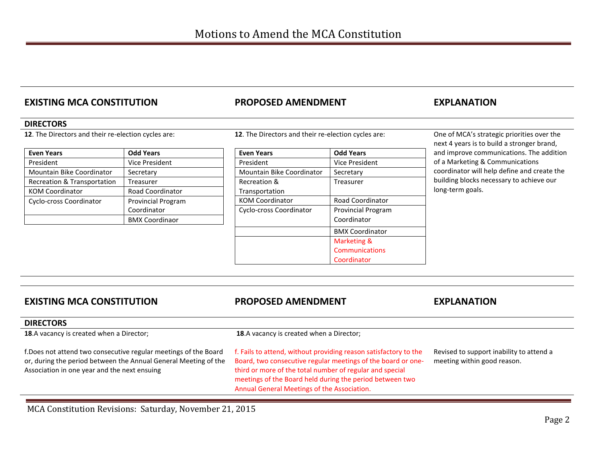# **EXISTING MCA CONSTITUTION PROPOSED AMENDMENT EXPLANATION**

### **DIRECTORS**

**12**. The Directors and their re-election cycles are:

| <b>Even Years</b>           | <b>Odd Years</b>          |
|-----------------------------|---------------------------|
| President                   | <b>Vice President</b>     |
| Mountain Bike Coordinator   | Secretary                 |
| Recreation & Transportation | <b>Treasurer</b>          |
| <b>KOM Coordinator</b>      | <b>Road Coordinator</b>   |
| Cyclo-cross Coordinator     | <b>Provincial Program</b> |
|                             | Coordinator               |
|                             | <b>BMX Coordinaor</b>     |

**12**. The Directors and their re-election cycles are:

| <b>Even Years</b>         | <b>Odd Years</b>          |  |
|---------------------------|---------------------------|--|
| President                 | Vice President            |  |
| Mountain Bike Coordinator | Secretary                 |  |
| Recreation &              | Treasurer                 |  |
| Transportation            |                           |  |
| <b>KOM Coordinator</b>    | <b>Road Coordinator</b>   |  |
| Cyclo-cross Coordinator   | <b>Provincial Program</b> |  |
|                           | Coordinator               |  |
|                           | <b>BMX Coordinator</b>    |  |
|                           | Marketing &               |  |
|                           | <b>Communications</b>     |  |
|                           | Coordinator               |  |

One of MCA's strategic priorities over the next 4 years is to build a stronger brand, and improve communications. The addition of a Marketing & Communications coordinator will help define and create the building blocks necessary to achieve our long-term goals.

| <b>EXISTING MCA CONSTITUTION</b>                                                                                                                                                   | <b>PROPOSED AMENDMENT</b>                                                                                                                                                                                                                                                                               | <b>EXPLANATION</b>                                                      |
|------------------------------------------------------------------------------------------------------------------------------------------------------------------------------------|---------------------------------------------------------------------------------------------------------------------------------------------------------------------------------------------------------------------------------------------------------------------------------------------------------|-------------------------------------------------------------------------|
| <b>DIRECTORS</b>                                                                                                                                                                   |                                                                                                                                                                                                                                                                                                         |                                                                         |
| <b>18.</b> A vacancy is created when a Director;                                                                                                                                   | <b>18.</b> A vacancy is created when a Director;                                                                                                                                                                                                                                                        |                                                                         |
| f.Does not attend two consecutive regular meetings of the Board<br>or, during the period between the Annual General Meeting of the<br>Association in one year and the next ensuing | f. Fails to attend, without providing reason satisfactory to the<br>Board, two consecutive regular meetings of the board or one-<br>third or more of the total number of regular and special<br>meetings of the Board held during the period between two<br>Annual General Meetings of the Association. | Revised to support inability to attend a<br>meeting within good reason. |

MCA Constitution Revisions: Saturday, November 21, 2015